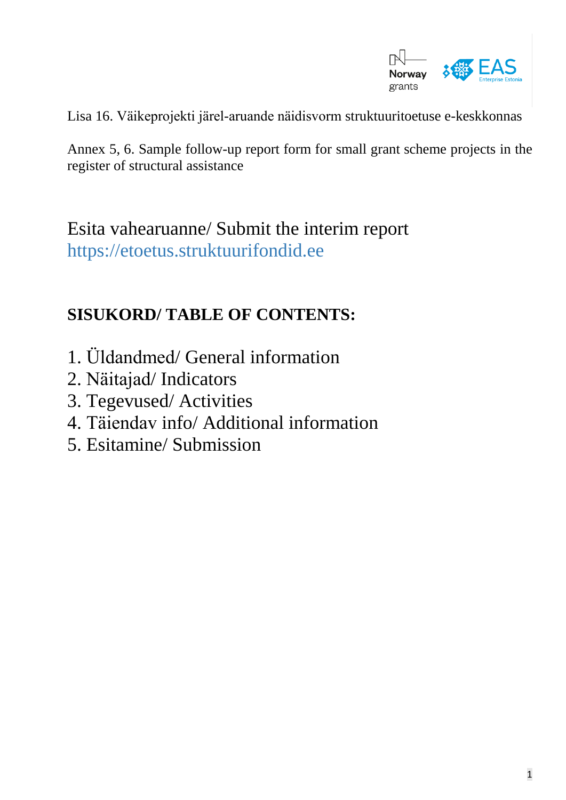

Lisa 16. Väikeprojekti järel-aruande näidisvorm struktuuritoetuse e-keskkonnas

Annex 5, 6. Sample follow-up report form for small grant scheme projects in the register of structural assistance

Esita vahearuanne/ Submit the interim report [https://etoetus.struktuurifondid.ee](https://etoetus.struktuurifondid.ee/)

#### **SISUKORD/ TABLE OF CONTENTS:**

- 1. Üldandmed/ General information
- 2. Näitajad/ Indicators
- 3. Tegevused/ Activities
- 4. Täiendav info/ Additional information
- 5. Esitamine/ Submission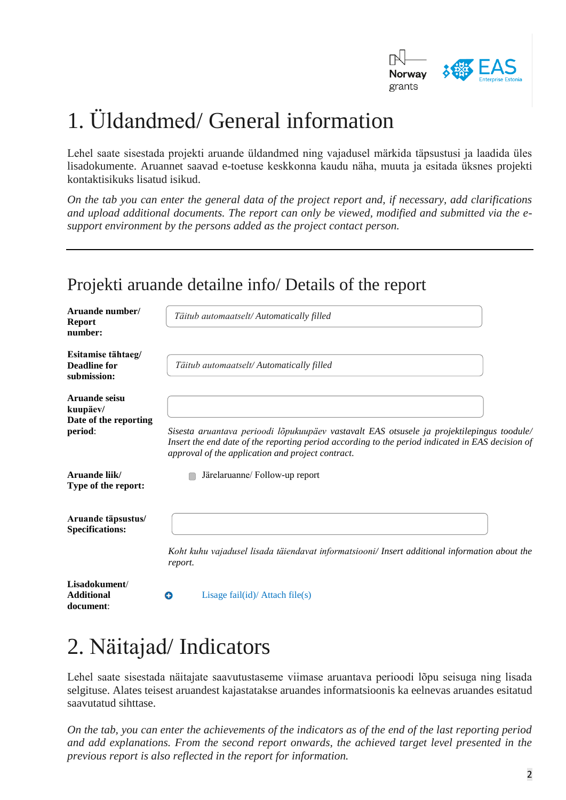

# 1. Üldandmed/ General information

Lehel saate sisestada projekti aruande üldandmed ning vajadusel märkida täpsustusi ja laadida üles lisadokumente. Aruannet saavad e-toetuse keskkonna kaudu näha, muuta ja esitada üksnes projekti kontaktisikuks lisatud isikud.

*On the tab you can enter the general data of the project report and, if necessary, add clarifications and upload additional documents. The report can only be viewed, modified and submitted via the esupport environment by the persons added as the project contact person.*

#### Projekti aruande detailne info/ Details of the report

| Aruande number/<br><b>Report</b><br>number:                   | Täitub automaatselt/ Automatically filled                                                                                                                                                                                                           |
|---------------------------------------------------------------|-----------------------------------------------------------------------------------------------------------------------------------------------------------------------------------------------------------------------------------------------------|
| Esitamise tähtaeg/<br><b>Deadline for</b><br>submission:      | Täitub automaatselt/Automatically filled                                                                                                                                                                                                            |
| Aruande seisu<br>kuupäev/<br>Date of the reporting<br>period: | Sisesta aruantava perioodi lõpukuupäev vastavalt EAS otsusele ja projektilepingus toodule/<br>Insert the end date of the reporting period according to the period indicated in EAS decision of<br>approval of the application and project contract. |
| Aruande liik/<br>Type of the report:                          | Järelaruanne/ Follow-up report                                                                                                                                                                                                                      |
| Aruande täpsustus/<br><b>Specifications:</b>                  | Koht kuhu vajadusel lisada täiendavat informatsiooni/ Insert additional information about the<br>report.                                                                                                                                            |
| Lisadokument/<br><b>Additional</b>                            | Lisage $fail(id)/$ Attach $file(s)$<br>o                                                                                                                                                                                                            |

# 2. Näitajad/ Indicators

**document**:

Lehel saate sisestada näitajate saavutustaseme viimase aruantava perioodi lõpu seisuga ning lisada selgituse. Alates teisest aruandest kajastatakse aruandes informatsioonis ka eelnevas aruandes esitatud saavutatud sihttase.

*On the tab, you can enter the achievements of the indicators as of the end of the last reporting period and add explanations. From the second report onwards, the achieved target level presented in the previous report is also reflected in the report for information.*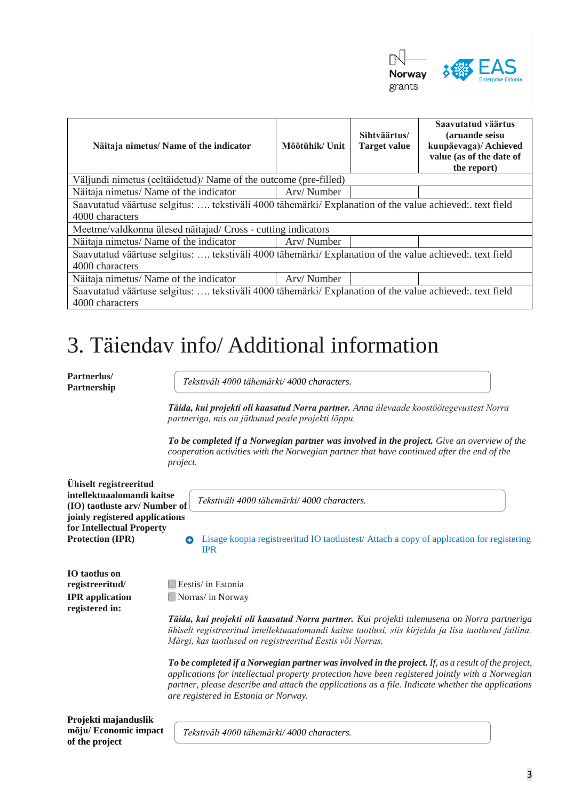

| Näitaja nimetus/ Name of the indicator                                                                                     | Mõõtühik/ Unit | Sihtväärtus/<br><b>Target value</b> | Saavutatud väärtus<br>(aruande seisu<br>kuupäevaga)/ Achieved<br>value (as of the date of<br>the report) |  |
|----------------------------------------------------------------------------------------------------------------------------|----------------|-------------------------------------|----------------------------------------------------------------------------------------------------------|--|
| Väljundi nimetus (eeltäidetud)/ Name of the outcome (pre-filled)                                                           |                |                                     |                                                                                                          |  |
| Näitaja nimetus/ Name of the indicator                                                                                     | Arv/Number     |                                     |                                                                                                          |  |
| Saavutatud väärtuse selgitus:  tekstiväli 4000 tähemärki/ Explanation of the value achieved: text field<br>4000 characters |                |                                     |                                                                                                          |  |
| Meetme/valdkonna ülesed näitajad/ Cross - cutting indicators                                                               |                |                                     |                                                                                                          |  |
| Näitaja nimetus/ Name of the indicator                                                                                     | Arv/Number     |                                     |                                                                                                          |  |
| Saavutatud väärtuse selgitus:  tekstiväli 4000 tähemärki/ Explanation of the value achieved: text field<br>4000 characters |                |                                     |                                                                                                          |  |
| Näitaja nimetus/ Name of the indicator                                                                                     | Arv/Number     |                                     |                                                                                                          |  |
| Saavutatud väärtuse selgitus:  tekstiväli 4000 tähemärki/ Explanation of the value achieved: text field<br>4000 characters |                |                                     |                                                                                                          |  |

# 3. Täiendav info/ Additional information

**Partnerlus/ Partnership** 

**IO taotlus on**

**registered in:**

*Tekstiväli 4000 tähemärki/ 4000 characters.*

*Täida, kui projekti oli kaasatud Norra partner. Anna ülevaade koostöötegevustest Norra partneriga, mis on jätkunud peale projekti lõppu.* 

*To be completed if a Norwegian partner was involved in the project. Give an overview of the cooperation activities with the Norwegian partner that have continued after the end of the project.*

**Ühiselt registreeritud intellektuaalomandi kaitse (IO) taotluste arv/ Number of joinly registered applications for Intellectual Property** 

*Tekstiväli 4000 tähemärki/ 4000 characters.*

**Protection <b>(IPR)** Lisage koopia registreeritud IO taotlustest/ Attach a copy of application for registering IPR

**registreeritud/** Eestis/ in Estonia **IPR application** Norway

> *Täida, kui projekti oli kaasatud Norra partner. Kui projekti tulemusena on Norra partneriga ühiselt registreeritud intellektuaalomandi kaitse taotlusi, siis kirjelda ja lisa taotlused failina. Märgi, kas taotlused on registreeritud Eestis või Norras.*

> *To be completed if a Norwegian partner was involved in the project. If, as a result of the project, applications for intellectual property protection have been registered jointly with a Norwegian partner, please describe and attach the applications as a file. Indicate whether the applications are registered in Estonia or Norway.*

**Projekti majanduslik mõju/ Economic impact of the project**

*Tekstiväli 4000 tähemärki/ 4000 characters.*